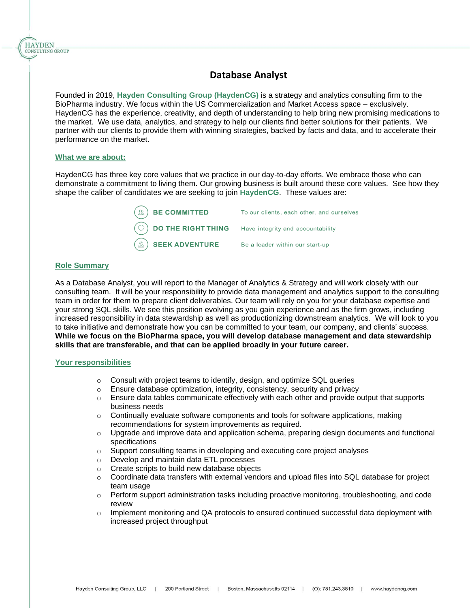

Founded in 2019, **Hayden Consulting Group (HaydenCG)** is a strategy and analytics consulting firm to the BioPharma industry. We focus within the US Commercialization and Market Access space – exclusively. HaydenCG has the experience, creativity, and depth of understanding to help bring new promising medications to the market. We use data, analytics, and strategy to help our clients find better solutions for their patients. We partner with our clients to provide them with winning strategies, backed by facts and data, and to accelerate their performance on the market.

#### **What we are about:**

**HAYDEN** CONSULTING GROUP

> HaydenCG has three key core values that we practice in our day-to-day efforts. We embrace those who can demonstrate a commitment to living them. Our growing business is built around these core values. See how they shape the caliber of candidates we are seeking to join **HaydenCG**. These values are:

> > **BE COMMITTED** To our clients, each other, and ourselves **DO THE RIGHT THING** Have integrity and accountability **SEEK ADVENTURE** Be a leader within our start-up

### **Role Summary**

As a Database Analyst, you will report to the Manager of Analytics & Strategy and will work closely with our consulting team. It will be your responsibility to provide data management and analytics support to the consulting team in order for them to prepare client deliverables. Our team will rely on you for your database expertise and your strong SQL skills. We see this position evolving as you gain experience and as the firm grows, including increased responsibility in data stewardship as well as productionizing downstream analytics. We will look to you to take initiative and demonstrate how you can be committed to your team, our company, and clients' success. **While we focus on the BioPharma space, you will develop database management and data stewardship skills that are transferable, and that can be applied broadly in your future career.** 

#### **Your responsibilities**

- o Consult with project teams to identify, design, and optimize SQL queries
- o Ensure database optimization, integrity, consistency, security and privacy
- $\circ$  Ensure data tables communicate effectively with each other and provide output that supports business needs
- $\circ$  Continually evaluate software components and tools for software applications, making recommendations for system improvements as required.
- $\circ$  Upgrade and improve data and application schema, preparing design documents and functional specifications
- $\circ$  Support consulting teams in developing and executing core project analyses
- o Develop and maintain data ETL processes
- o Create scripts to build new database objects
- $\circ$  Coordinate data transfers with external vendors and upload files into SQL database for project team usage
- $\circ$  Perform support administration tasks including proactive monitoring, troubleshooting, and code review
- $\circ$  Implement monitoring and QA protocols to ensured continued successful data deployment with increased project throughput